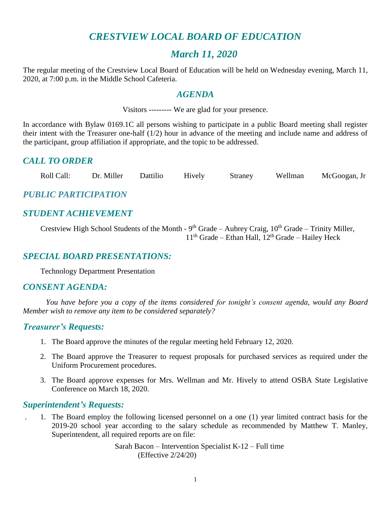# *CRESTVIEW LOCAL BOARD OF EDUCATION*

# *March 11, 2020*

The regular meeting of the Crestview Local Board of Education will be held on Wednesday evening, March 11, 2020, at 7:00 p.m. in the Middle School Cafeteria.

## *AGENDA*

Visitors --------- We are glad for your presence.

In accordance with Bylaw 0169.1C all persons wishing to participate in a public Board meeting shall register their intent with the Treasurer one-half (1/2) hour in advance of the meeting and include name and address of the participant, group affiliation if appropriate, and the topic to be addressed.

# *CALL TO ORDER*

Roll Call: Dr. Miller Dattilio Hively Straney Wellman McGoogan, Jr

# *PUBLIC PARTICIPATION*

# *STUDENT ACHIEVEMENT*

Crestview High School Students of the Month -  $9<sup>th</sup>$  Grade – Aubrey Craig,  $10<sup>th</sup>$  Grade – Trinity Miller, 11<sup>th</sup> Grade – Ethan Hall, 12<sup>th</sup> Grade – Hailey Heck

## *SPECIAL BOARD PRESENTATIONS:*

Technology Department Presentation

### *CONSENT AGENDA:*

*You have before you a copy of the items considered for tonight's consent agenda, would any Board Member wish to remove any item to be considered separately?*

### *Treasurer's Requests:*

- 1. The Board approve the minutes of the regular meeting held February 12, 2020.
- 2. The Board approve the Treasurer to request proposals for purchased services as required under the Uniform Procurement procedures.
- 3. The Board approve expenses for Mrs. Wellman and Mr. Hively to attend OSBA State Legislative Conference on March 18, 2020.

### *Superintendent's Requests:*

. 1. The Board employ the following licensed personnel on a one (1) year limited contract basis for the 2019-20 school year according to the salary schedule as recommended by Matthew T. Manley, Superintendent, all required reports are on file:

> Sarah Bacon – Intervention Specialist K-12 – Full time (Effective 2/24/20)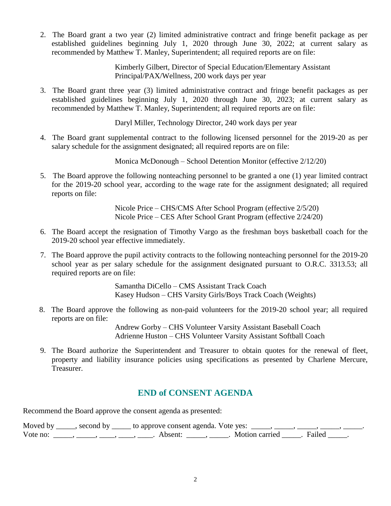2. The Board grant a two year (2) limited administrative contract and fringe benefit package as per established guidelines beginning July 1, 2020 through June 30, 2022; at current salary as recommended by Matthew T. Manley, Superintendent; all required reports are on file:

> Kimberly Gilbert, Director of Special Education/Elementary Assistant Principal/PAX/Wellness, 200 work days per year

 3. The Board grant three year (3) limited administrative contract and fringe benefit packages as per established guidelines beginning July 1, 2020 through June 30, 2023; at current salary as recommended by Matthew T. Manley, Superintendent; all required reports are on file:

Daryl Miller, Technology Director, 240 work days per year

 4. The Board grant supplemental contract to the following licensed personnel for the 2019-20 as per salary schedule for the assignment designated; all required reports are on file:

Monica McDonough – School Detention Monitor (effective 2/12/20)

 5. The Board approve the following nonteaching personnel to be granted a one (1) year limited contract for the 2019-20 school year, according to the wage rate for the assignment designated; all required reports on file:

> Nicole Price – CHS/CMS After School Program (effective 2/5/20) Nicole Price – CES After School Grant Program (effective 2/24/20)

- 6. The Board accept the resignation of Timothy Vargo as the freshman boys basketball coach for the 2019-20 school year effective immediately.
- 7. The Board approve the pupil activity contracts to the following nonteaching personnel for the 2019-20 school year as per salary schedule for the assignment designated pursuant to O.R.C. 3313.53; all required reports are on file:

Samantha DiCello – CMS Assistant Track Coach Kasey Hudson – CHS Varsity Girls/Boys Track Coach (Weights)

 8. The Board approve the following as non-paid volunteers for the 2019-20 school year; all required reports are on file:

> Andrew Gorby – CHS Volunteer Varsity Assistant Baseball Coach Adrienne Huston – CHS Volunteer Varsity Assistant Softball Coach

9. The Board authorize the Superintendent and Treasurer to obtain quotes for the renewal of fleet, property and liability insurance policies using specifications as presented by Charlene Mercure, Treasurer.

# **END of CONSENT AGENDA**

Recommend the Board approve the consent agenda as presented:

|          | Moved by _____, second by _____ to approve consent agenda. Vote yes: $\_\_\_\_\_\_\_\_\_\_\_\_\_\_\_\_\_\_$ |                     |        |  |
|----------|-------------------------------------------------------------------------------------------------------------|---------------------|--------|--|
| Vote no: | Absent <sup>.</sup>                                                                                         | Motion carried [15] | Failed |  |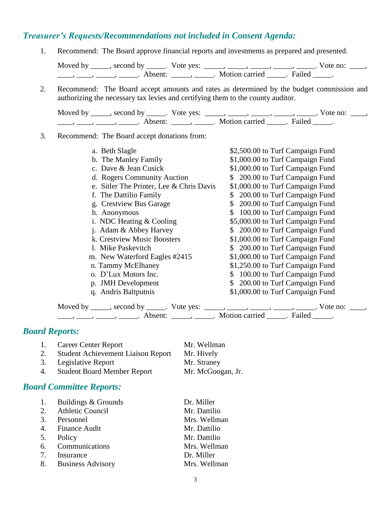# *Treasurer's Requests/Recommendations not included in Consent Agenda:*

1. Recommend: The Board approve financial reports and investments as prepared and presented.

Moved by \_\_\_\_\_, second by \_\_\_\_\_. Vote yes: \_\_\_\_\_, \_\_\_\_\_, \_\_\_\_\_, \_\_\_\_\_, \_\_\_\_\_. Vote no: \_\_\_\_, \_\_\_\_\_, \_\_\_\_\_\_, \_\_\_\_\_\_\_. Absent: \_\_\_\_\_\_, \_\_\_\_\_\_. Motion carried \_\_\_\_\_\_. Failed \_\_\_\_\_.

2. Recommend: The Board accept amounts and rates as determined by the budget commission and authorizing the necessary tax levies and certifying them to the county auditor.

Moved by \_\_\_\_\_, second by \_\_\_\_\_. Vote yes: \_\_\_\_\_, \_\_\_\_\_, \_\_\_\_\_, \_\_\_\_\_, \_\_\_\_\_. Vote no: \_\_\_\_, \_\_\_\_\_, \_\_\_\_\_\_, \_\_\_\_\_\_\_. Absent: \_\_\_\_\_\_, \_\_\_\_\_\_. Motion carried \_\_\_\_\_\_. Failed \_\_\_\_\_.

#### 3. Recommend: The Board accept donations from:

| a. Beth Slagle                           | \$2,500.00 to Turf Campaign Fund |
|------------------------------------------|----------------------------------|
| b. The Manley Family                     | \$1,000.00 to Turf Campaign Fund |
| c. Dave & Jean Cusick                    | \$1,000.00 to Turf Campaign Fund |
| d. Rogers Community Auction              | \$ 200.00 to Turf Campaign Fund  |
| e. Sitler The Printer, Lee & Chris Davis | \$1,000.00 to Turf Campaign Fund |
| f. The Dattilio Family                   | 200.00 to Turf Campaign Fund     |
| g. Crestview Bus Garage                  | 200.00 to Turf Campaign Fund     |
| h. Anonymous                             | 100.00 to Turf Campaign Fund     |
| i. NDC Heating $&$ Cooling               | \$5,000.00 to Turf Campaign Fund |
| j. Adam & Abbey Harvey                   | \$ 200.00 to Turf Campaign Fund  |
| k. Crestview Music Boosters              | \$1,000.00 to Turf Campaign Fund |
| 1. Mike Paskevitch                       | \$ 200.00 to Turf Campaign Fund  |
| m. New Waterford Eagles #2415            | \$1,000.00 to Turf Campaign Fund |
| n. Tammy McElhaney                       | \$1,250.00 to Turf Campaign Fund |
| o. D'Lux Motors Inc.                     | 100.00 to Turf Campaign Fund     |
| p. JMH Development                       | 200.00 to Turf Campaign Fund     |
| q. Andris Baltputnis                     | \$1,000.00 to Turf Campaign Fund |
|                                          |                                  |

Moved by \_\_\_\_\_, second by \_\_\_\_\_. Vote yes: \_\_\_\_\_, \_\_\_\_\_, \_\_\_\_\_, \_\_\_\_\_, \_\_\_\_\_. Vote no: \_\_\_\_, ——, ——, ——, Absent: \_\_\_\_, \_\_\_\_\_. Motion carried \_\_\_\_\_. Failed \_\_\_\_.

## *Board Reports:*

- 1. Career Center Report Mr. Wellman 2. Student Achievement Liaison Report Mr. Hively
- 3. Legislative Report Mr. Straney

4. Student Board Member Report Mr. McGoogan, Jr.

### *Board Committee Reports:*

| 1. | Buildings & Grounds  | Dr. Miller   |
|----|----------------------|--------------|
|    | 2. Athletic Council  | Mr. Dattilio |
|    | 3. Personnel         | Mrs. Wellman |
|    | 4. Finance Audit     | Mr. Dattilio |
| 5. | Policy               | Mr. Dattilio |
|    | 6. Communications    | Mrs. Wellman |
|    | 7. Insurance         | Dr. Miller   |
|    | 8. Business Advisory | Mrs. Wellman |